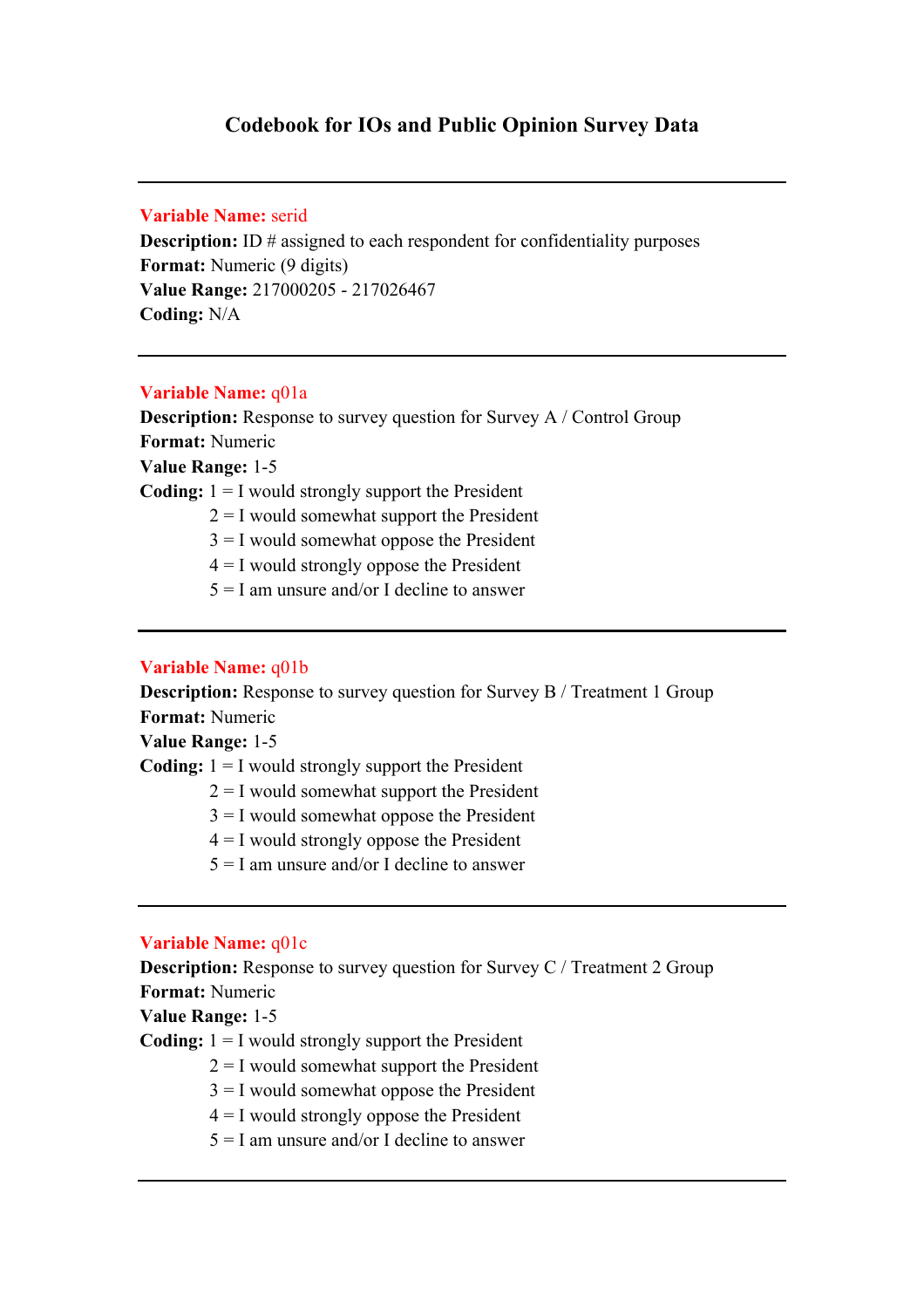# **Codebook for IOs and Public Opinion Survey Data**

# **Variable Name:** serid

**Description:** ID # assigned to each respondent for confidentiality purposes **Format:** Numeric (9 digits) **Value Range:** 217000205 - 217026467 **Coding:** N/A

### **Variable Name:** q01a

**Description:** Response to survey question for Survey A / Control Group **Format:** Numeric **Value Range:** 1-5

**Coding:** 1 = I would strongly support the President

 $2 = I$  would somewhat support the President

 $3 = I$  would somewhat oppose the President

 $4 = I$  would strongly oppose the President

 $5 = I$  am unsure and/or I decline to answer

#### **Variable Name:** q01b

**Description:** Response to survey question for Survey B / Treatment 1 Group **Format:** Numeric

**Value Range:** 1-5

**Coding:** 1 = I would strongly support the President

- $2 = I$  would somewhat support the President
- $3 = I$  would somewhat oppose the President
- $4 = I$  would strongly oppose the President
- $5 = I$  am unsure and/or I decline to answer

# **Variable Name:** q01c

**Description:** Response to survey question for Survey C / Treatment 2 Group **Format:** Numeric

**Value Range:** 1-5

**Coding:** 1 = I would strongly support the President

- $2 = I$  would somewhat support the President
- $3 = I$  would somewhat oppose the President
- $4 = I$  would strongly oppose the President
- $5 = I$  am unsure and/or I decline to answer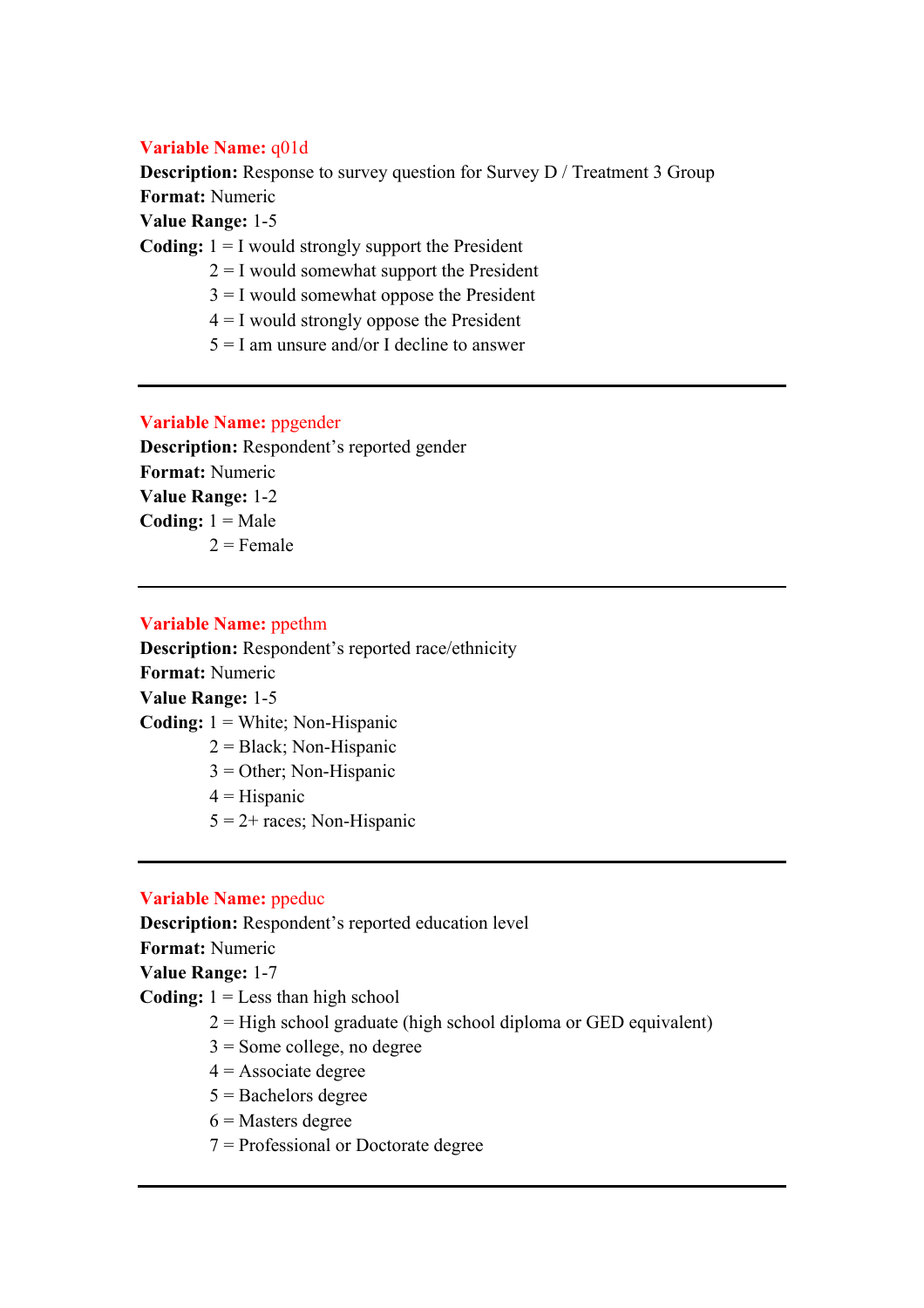### **Variable Name:** q01d

**Description:** Response to survey question for Survey D / Treatment 3 Group **Format:** Numeric

**Value Range:** 1-5

**Coding:** 1 = I would strongly support the President

- $2 = I$  would somewhat support the President
- $3 = I$  would somewhat oppose the President
- $4 = I$  would strongly oppose the President
- $5 = I$  am unsure and/or I decline to answer

### **Variable Name:** ppgender

**Description:** Respondent's reported gender **Format:** Numeric **Value Range:** 1-2 **Coding:**  $1 = Male$  $2$  = Female

### **Variable Name:** ppethm

**Description:** Respondent's reported race/ethnicity **Format:** Numeric **Value Range:** 1-5 **Coding:** 1 = White; Non-Hispanic 2 = Black; Non-Hispanic 3 = Other; Non-Hispanic  $4 =$ Hispanic

 $5 = 2 + \text{races}$ ; Non-Hispanic

### **Variable Name:** ppeduc

**Description:** Respondent's reported education level

**Format:** Numeric

**Value Range:** 1-7

**Coding:**  $1 =$  Less than high school

- $2 =$  High school graduate (high school diploma or GED equivalent)
- $3 =$  Some college, no degree
- $4 =$ Associate degree
- $5 =$ Bachelors degree
- $6$  = Masters degree
- 7 = Professional or Doctorate degree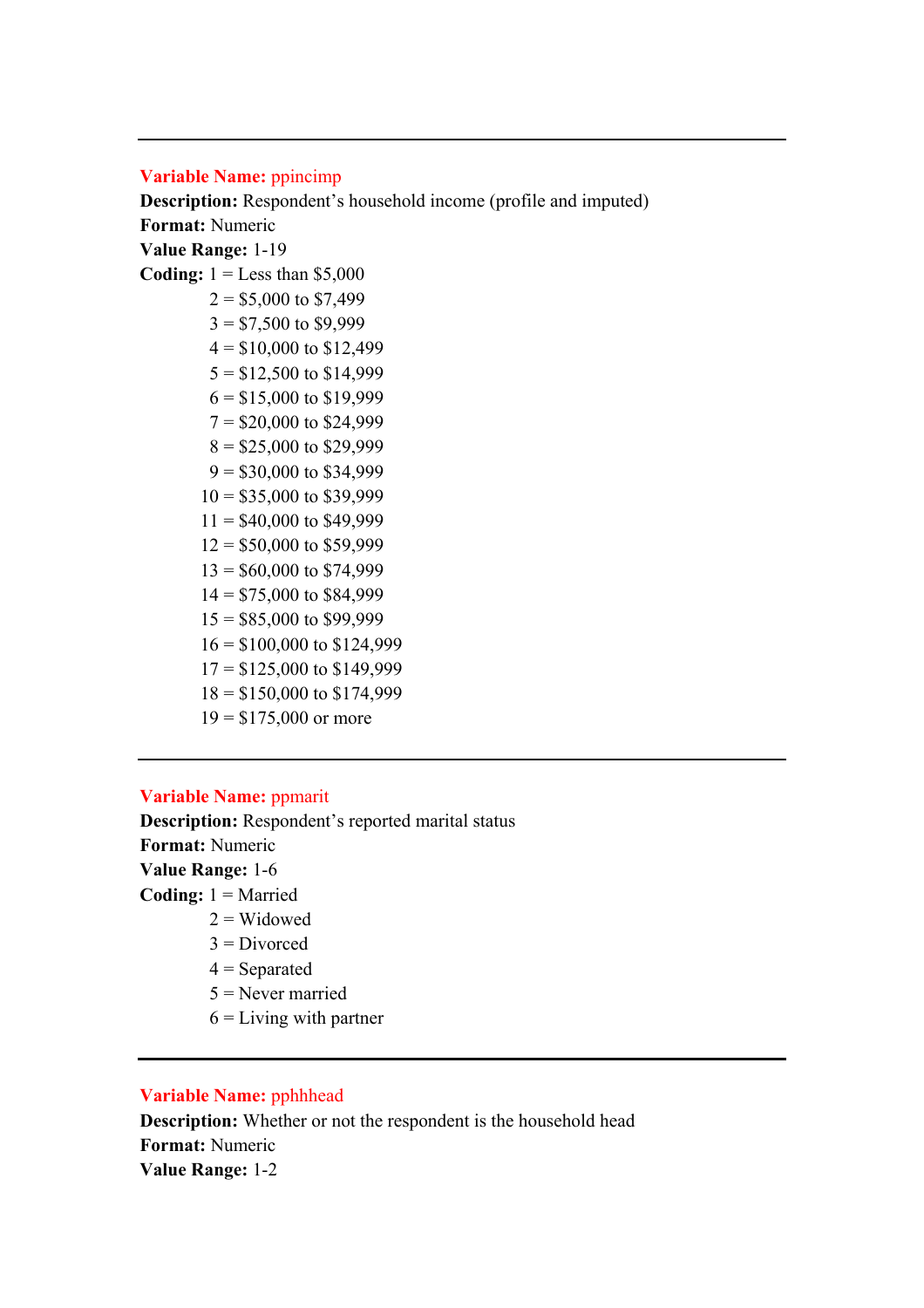#### **Variable Name:** ppincimp

**Description:** Respondent's household income (profile and imputed) **Format:** Numeric **Value Range:** 1-19

**Coding:**  $1 =$  Less than \$5,000

 $2 = $5,000$  to \$7,499  $3 = $7,500$  to \$9,999  $4 = $10,000$  to \$12,499  $5 = $12,500$  to  $$14,999$  $6 = $15,000$  to \$19,999  $7 = $20,000$  to \$24,999  $8 = $25,000$  to \$29,999  $9 = $30,000$  to \$34,999  $10 = $35,000$  to \$39,999  $11 = $40,000$  to \$49,999  $12 = $50,000$  to \$59,999  $13 = $60,000$  to \$74,999  $14 = $75,000$  to \$84,999  $15 = $85,000$  to \$99,999 16 = \$100,000 to \$124,999  $17 = $125,000$  to \$149,999 18 = \$150,000 to \$174,999  $19 = $175,000$  or more

#### **Variable Name:** ppmarit

**Description:** Respondent's reported marital status **Format:** Numeric **Value Range:** 1-6 **Coding:** 1 = Married  $2 =$  Widowed

- $3$  = Divorced
- $4$  = Separated
- 5 = Never married
- $6 =$  Living with partner

# **Variable Name:** pphhhead

**Description:** Whether or not the respondent is the household head **Format:** Numeric **Value Range:** 1-2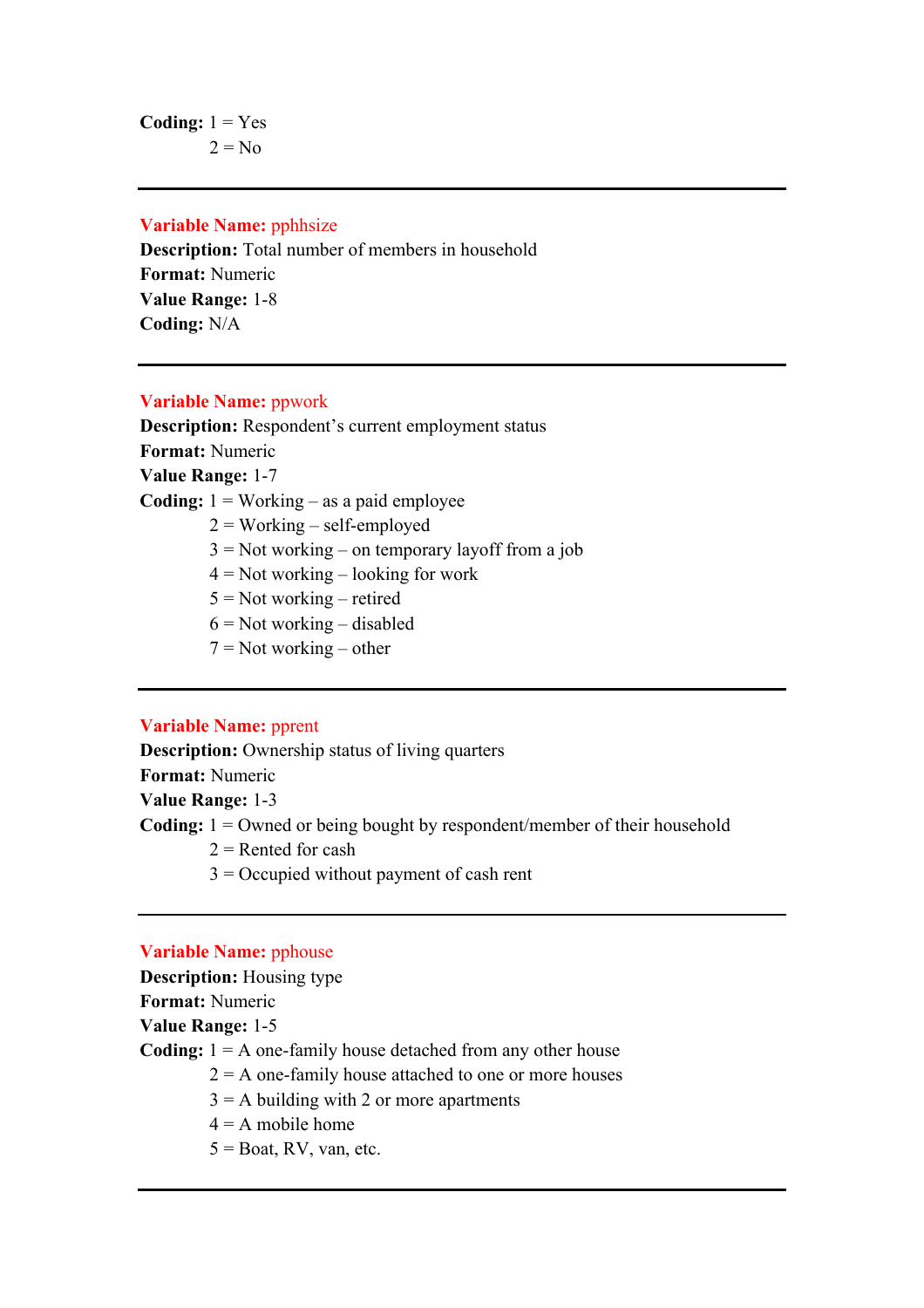# **Variable Name:** pphhsize

**Description:** Total number of members in household **Format:** Numeric **Value Range:** 1-8 **Coding:** N/A

# **Variable Name:** ppwork

**Description:** Respondent's current employment status **Format:** Numeric **Value Range:** 1-7 **Coding:** 1 = Working – as a paid employee  $2 = Working – self-employed$  $3 = Not working - on temporary layout from a job$  $4 = Not working - looking for work$  $5 = Not working - retired$  $6$  = Not working – disabled  $7 = Not working - other$ 

### **Variable Name:** pprent

**Description:** Ownership status of living quarters **Format:** Numeric **Value Range:** 1-3 **Coding:** 1 = Owned or being bought by respondent/member of their household  $2$  = Rented for cash

3 = Occupied without payment of cash rent

# **Variable Name:** pphouse

**Description:** Housing type

**Format:** Numeric

**Value Range:** 1-5

**Coding:** 1 = A one-family house detached from any other house

 $2 = A$  one-family house attached to one or more houses

 $3 = A$  building with 2 or more apartments

- $4 = A$  mobile home
- $5 =$ Boat, RV, van, etc.